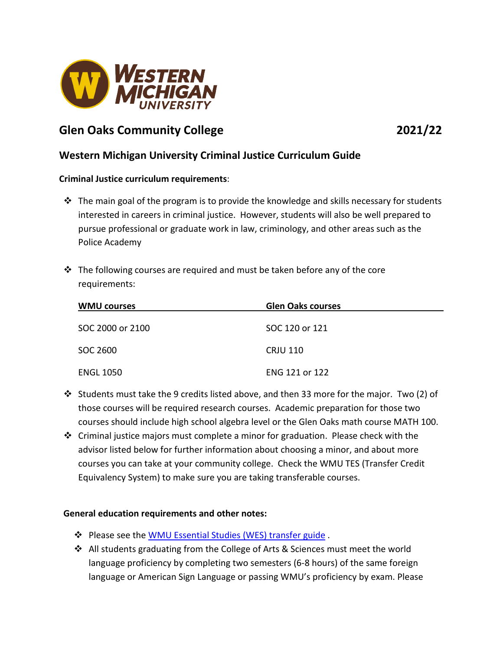

# **Glen Oaks Community College 2021/22**

## **Western Michigan University Criminal Justice Curriculum Guide**

### **Criminal Justice curriculum requirements**:

- $\cdot \cdot$  The main goal of the program is to provide the knowledge and skills necessary for students interested in careers in criminal justice. However, students will also be well prepared to pursue professional or graduate work in law, criminology, and other areas such as the Police Academy
- $\div$  The following courses are required and must be taken before any of the core requirements:

| <b>WMU courses</b> | <b>Glen Oaks courses</b> |
|--------------------|--------------------------|
| SOC 2000 or 2100   | SOC 120 or 121           |
| SOC 2600           | <b>CRJU 110</b>          |
| <b>ENGL 1050</b>   | ENG 121 or 122           |

- Students must take the 9 credits listed above, and then 33 more for the major. Two (2) of those courses will be required research courses. Academic preparation for those two courses should include high school algebra level or the Glen Oaks math course MATH 100.
- Criminal justice majors must complete a minor for graduation. Please check with the advisor listed below for further information about choosing a minor, and about more courses you can take at your community college. Check the WMU TES (Transfer Credit Equivalency System) to make sure you are taking transferable courses.

### **General education requirements and other notes:**

- Please see the WMU [Essential Studies \(WES\) transfer guide](http://www.wmich.edu/admissions/transfer/guides/gocc) .
- All students graduating from the College of Arts & Sciences must meet the world language proficiency by completing two semesters (6-8 hours) of the same foreign language or American Sign Language or passing WMU's proficiency by exam. Please